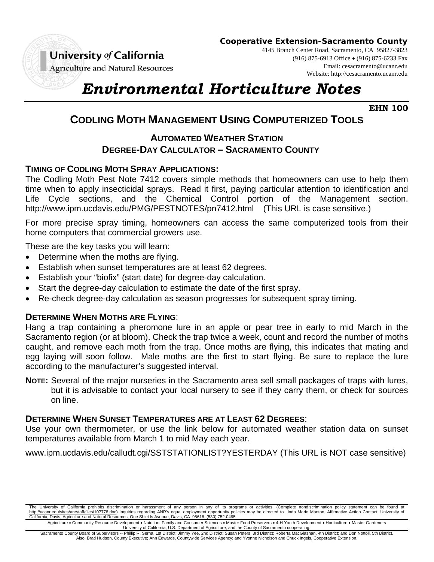

**Cooperative Extension-Sacramento County**

4145 Branch Center Road, Sacramento, CA 95827-3823 (916) 875-6913 Office (916) 875-6233 Fax

**Agriculture and Natural Resources** 

Email: cesacramento@ucanr.edu Website: http://cesacramento.ucanr.edu

# *Environmental Horticulture Notes*

**EHN 100**

## **CODLING MOTH MANAGEMENT USING COMPUTERIZED TOOLS**

### **AUTOMATED WEATHER STATION DEGREE-DAY CALCULATOR – SACRAMENTO COUNTY**

#### **TIMING OF CODLING MOTH SPRAY APPLICATIONS:**

The Codling Moth Pest Note 7412 covers simple methods that homeowners can use to help them time when to apply insecticidal sprays. Read it first, paying particular attention to identification and Life Cycle sections, and the Chemical Control portion of the Management section. http://www.ipm.ucdavis.edu/PMG/PESTNOTES/pn7412.html (This URL is case sensitive.)

For more precise spray timing, homeowners can access the same computerized tools from their home computers that commercial growers use.

These are the key tasks you will learn:

- Determine when the moths are flying.
- Establish when sunset temperatures are at least 62 degrees.
- Establish your "biofix" (start date) for degree-day calculation.
- Start the degree-day calculation to estimate the date of the first spray.
- Re-check degree-day calculation as season progresses for subsequent spray timing.

#### **DETERMINE WHEN MOTHS ARE FLYING**:

Hang a trap containing a pheromone lure in an apple or pear tree in early to mid March in the Sacramento region (or at bloom). Check the trap twice a week, count and record the number of moths caught, and remove each moth from the trap. Once moths are flying, this indicates that mating and egg laying will soon follow. Male moths are the first to start flying. Be sure to replace the lure according to the manufacturer's suggested interval.

**NOTE:** Several of the major nurseries in the Sacramento area sell small packages of traps with lures, but it is advisable to contact your local nursery to see if they carry them, or check for sources on line.

#### **DETERMINE WHEN SUNSET TEMPERATURES ARE AT LEAST 62 DEGREES**:

Use your own thermometer, or use the link below for automated weather station data on sunset temperatures available from March 1 to mid May each year.

www.ipm.ucdavis.edu/calludt.cgi/SSTSTATIONLIST?YESTERDAY (This URL is NOT case sensitive)

The University of California prohibits discrimination or harassment of any person in any of its programs or activities. (Complete nondiscrimination policy statement can be found at http://ucanr.edu/sites/anrstaff/files/107778.doc) Inquiries regarding ANR's equal employment opportunity policies may be directed to Linda Marie Manton, Affirmative Action Contact, University of California, Davis, Agriculture and Natural Resources, One Shields Avenue, Davis, CA 95616, (530) 752-0495

Agriculture • Community Resource Development • Nutrition, Family and Consumer Sciences • Master Food Preservers • 4-H Youth Development • Horticulture • Master Gardeners University of California, U.S. Department of Agriculture, and the County of Sacramento cooperating.

Sacramento County Board of Supervisors -- Phillip R. Serna, 1st District; Jimmy Yee, 2nd District; Susan Peters, 3rd District; Roberta MacGlashan, 4th District; and Don Nottoli, 5th District. Also, Brad Hudson, County Executive; Ann Edwards, Countywide Services Agency; and Yvonne Nicholson and Chuck Ingels, Cooperative Extension.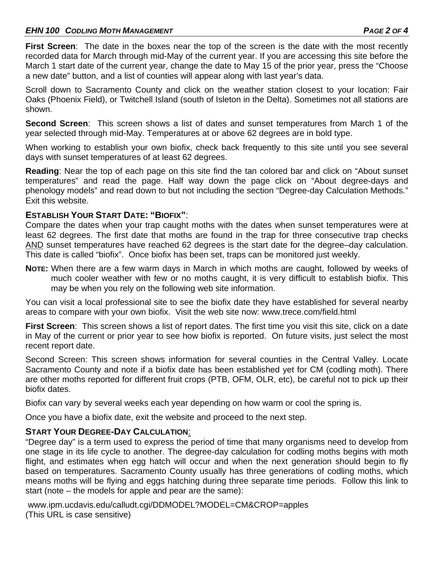#### *EHN 100 CODLING MOTH MANAGEMENT PAGE 2 OF 4*

**First Screen**: The date in the boxes near the top of the screen is the date with the most recently recorded data for March through mid-May of the current year. If you are accessing this site before the March 1 start date of the current year, change the date to May 15 of the prior year, press the "Choose a new date" button, and a list of counties will appear along with last year's data.

Scroll down to Sacramento County and click on the weather station closest to your location: Fair Oaks (Phoenix Field), or Twitchell Island (south of Isleton in the Delta). Sometimes not all stations are shown.

**Second Screen**: This screen shows a list of dates and sunset temperatures from March 1 of the year selected through mid-May. Temperatures at or above 62 degrees are in bold type.

When working to establish your own biofix, check back frequently to this site until you see several days with sunset temperatures of at least 62 degrees.

**Reading**: Near the top of each page on this site find the tan colored bar and click on "About sunset temperatures" and read the page. Half way down the page click on "About degree-days and phenology models" and read down to but not including the section "Degree-day Calculation Methods." Exit this website.

#### **ESTABLISH YOUR START DATE: "BIOFIX"**:

Compare the dates when your trap caught moths with the dates when sunset temperatures were at least 62 degrees. The first date that moths are found in the trap for three consecutive trap checks AND sunset temperatures have reached 62 degrees is the start date for the degree–day calculation. This date is called "biofix". Once biofix has been set, traps can be monitored just weekly.

**NOTE:** When there are a few warm days in March in which moths are caught, followed by weeks of much cooler weather with few or no moths caught, it is very difficult to establish biofix. This may be when you rely on the following web site information.

You can visit a local professional site to see the biofix date they have established for several nearby areas to compare with your own biofix. Visit the web site now: www.trece.com/field.html

First Screen: This screen shows a list of report dates. The first time you visit this site, click on a date in May of the current or prior year to see how biofix is reported. On future visits, just select the most recent report date.

Second Screen: This screen shows information for several counties in the Central Valley. Locate Sacramento County and note if a biofix date has been established yet for CM (codling moth). There are other moths reported for different fruit crops (PTB, OFM, OLR, etc), be careful not to pick up their biofix dates.

Biofix can vary by several weeks each year depending on how warm or cool the spring is.

Once you have a biofix date, exit the website and proceed to the next step.

#### **START YOUR DEGREE-DAY CALCULATION**:

"Degree day" is a term used to express the period of time that many organisms need to develop from one stage in its life cycle to another. The degree-day calculation for codling moths begins with moth flight, and estimates when egg hatch will occur and when the next generation should begin to fly based on temperatures. Sacramento County usually has three generations of codling moths, which means moths will be flying and eggs hatching during three separate time periods. Follow this link to start (note – the models for apple and pear are the same):

 www.ipm.ucdavis.edu/calludt.cgi/DDMODEL?MODEL=CM&CROP=apples (This URL is case sensitive)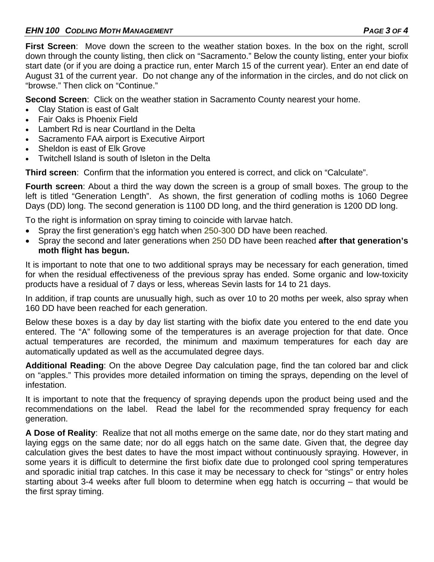**First Screen**: Move down the screen to the weather station boxes. In the box on the right, scroll down through the county listing, then click on "Sacramento." Below the county listing, enter your biofix start date (or if you are doing a practice run, enter March 15 of the current year). Enter an end date of August 31 of the current year. Do not change any of the information in the circles, and do not click on "browse." Then click on "Continue."

**Second Screen**: Click on the weather station in Sacramento County nearest your home.

- Clay Station is east of Galt
- Fair Oaks is Phoenix Field
- Lambert Rd is near Courtland in the Delta
- Sacramento FAA airport is Executive Airport
- Sheldon is east of Elk Grove
- Twitchell Island is south of Isleton in the Delta

**Third screen**: Confirm that the information you entered is correct, and click on "Calculate".

**Fourth screen**: About a third the way down the screen is a group of small boxes. The group to the left is titled "Generation Length". As shown, the first generation of codling moths is 1060 Degree Days (DD) long. The second generation is 1100 DD long, and the third generation is 1200 DD long.

To the right is information on spray timing to coincide with larvae hatch.

- Spray the first generation's egg hatch when 250-300 DD have been reached.
- Spray the second and later generations when 250 DD have been reached **after that generation's moth flight has begun.**

It is important to note that one to two additional sprays may be necessary for each generation, timed for when the residual effectiveness of the previous spray has ended. Some organic and low-toxicity products have a residual of 7 days or less, whereas Sevin lasts for 14 to 21 days.

In addition, if trap counts are unusually high, such as over 10 to 20 moths per week, also spray when 160 DD have been reached for each generation.

Below these boxes is a day by day list starting with the biofix date you entered to the end date you entered. The "A" following some of the temperatures is an average projection for that date. Once actual temperatures are recorded, the minimum and maximum temperatures for each day are automatically updated as well as the accumulated degree days.

**Additional Reading**: On the above Degree Day calculation page, find the tan colored bar and click on "apples." This provides more detailed information on timing the sprays, depending on the level of infestation.

It is important to note that the frequency of spraying depends upon the product being used and the recommendations on the label. Read the label for the recommended spray frequency for each generation.

**A Dose of Reality**: Realize that not all moths emerge on the same date, nor do they start mating and laying eggs on the same date; nor do all eggs hatch on the same date. Given that, the degree day calculation gives the best dates to have the most impact without continuously spraying. However, in some years it is difficult to determine the first biofix date due to prolonged cool spring temperatures and sporadic initial trap catches. In this case it may be necessary to check for "stings" or entry holes starting about 3-4 weeks after full bloom to determine when egg hatch is occurring – that would be the first spray timing.